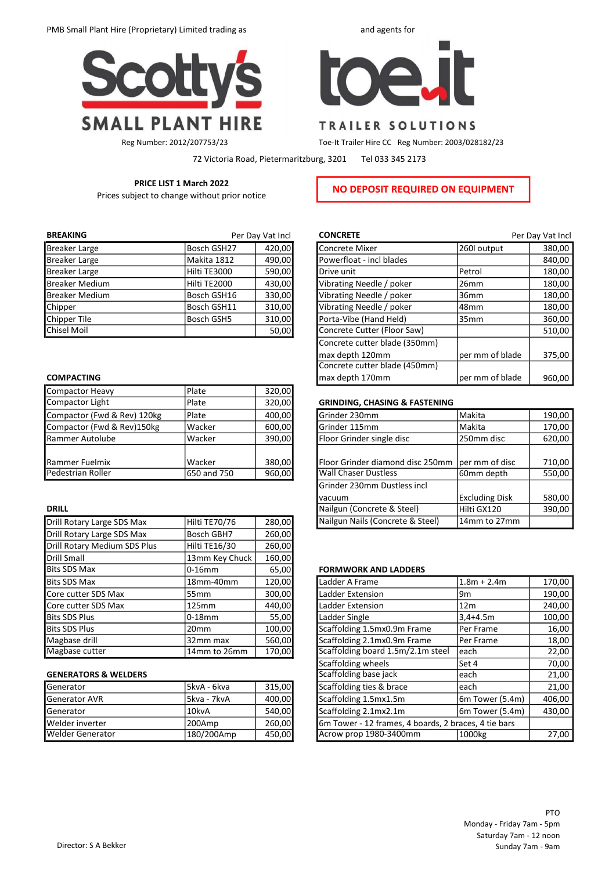



## TRAILER SOLUTIONS

Reg Number: 2012/207753/23 Toe-It Trailer Hire CC Reg Number: 2003/028182/23

72 Victoria Road, Pietermaritzburg, 3201 Tel 033 345 2173

# PRICE LIST 1 March 2022 Prices subject to change without prior notice **NO DEPOSIT REQUIRED ON EQUIPMENT**

| <b>BREAKING</b>       | Per Day Vat Incl |        |  |  |
|-----------------------|------------------|--------|--|--|
| <b>Breaker Large</b>  | Bosch GSH27      | 420,00 |  |  |
| <b>Breaker Large</b>  | Makita 1812      | 490,00 |  |  |
| <b>Breaker Large</b>  | Hilti TE3000     | 590,00 |  |  |
| <b>Breaker Medium</b> | Hilti TE2000     | 430,00 |  |  |
| <b>Breaker Medium</b> | Bosch GSH16      | 330,00 |  |  |
| Chipper               | Bosch GSH11      | 310,00 |  |  |
| Chipper Tile          | Bosch GSH5       | 310,00 |  |  |
| <b>Chisel Moil</b>    |                  | 50,00  |  |  |

## **COMPACTING**

| <b>Compactor Heavy</b>      | Plate       | 320,00 |
|-----------------------------|-------------|--------|
| Compactor Light             | Plate       | 320,00 |
| Compactor (Fwd & Rev) 120kg | Plate       | 400,00 |
| Compactor (Fwd & Rev)150kg  | Wacker      | 600,00 |
| Rammer Autolube             | Wacker      | 390,00 |
|                             |             |        |
| Rammer Fuelmix              | Wacker      | 380,00 |
| Pedestrian Roller           | 650 and 750 | 960,00 |

| Drill Rotary Large SDS Max   | Hilti TE70/76    | 280,00 | Nailgun Nails (Concrete & Steel)  | 14mm to 27mm     |
|------------------------------|------------------|--------|-----------------------------------|------------------|
| Drill Rotary Large SDS Max   | Bosch GBH7       | 260,00 |                                   |                  |
| Drill Rotary Medium SDS Plus | Hilti TE16/30    | 260,00 |                                   |                  |
| <b>Drill Small</b>           | 13mm Key Chuck   | 160,00 |                                   |                  |
| <b>Bits SDS Max</b>          | 10-16mm          | 65,00  | <b>FORMWORK AND LADDERS</b>       |                  |
| Bits SDS Max                 | 18mm-40mm        | 120,00 | Ladder A Frame                    | $1.8m + 2.4m$    |
| Core cutter SDS Max          | 55mm             | 300,00 | Ladder Extension                  | l9m              |
| Core cutter SDS Max          | 125mm            | 440,00 | Ladder Extension                  | 12 <sub>m</sub>  |
| <b>Bits SDS Plus</b>         | 0-18mm           | 55,00  | Ladder Single                     | 3,4+4.5m         |
| <b>Bits SDS Plus</b>         | 20 <sub>mm</sub> | 100,00 | Scaffolding 1.5mx0.9m Frame       | <b>Per Frame</b> |
| Magbase drill                | 32mm max         | 560,00 | Scaffolding 2.1mx0.9m Frame       | lPer Frame       |
| Magbase cutter               | 14mm to 26mm     | 170,00 | Scaffolding board 1.5m/2.1m steel | leach            |

## **GENERATORS & WELDERS**

| Generator            | 15kvA - 6kva | 315.00 |
|----------------------|--------------|--------|
| <b>Generator AVR</b> | l5kva - 7kvA | 400,00 |
| Generator            | l 10kvA      | 540.00 |
| Welder inverter      | l200Amp      | 260.00 |
| Welder Generator     | 180/200Amp   | 450,00 |

| <b>BREAKING</b>       |              | Per Day Vat Incl | <b>CONCRETE</b>               |                 | Per Day Vat Incl |
|-----------------------|--------------|------------------|-------------------------------|-----------------|------------------|
| Breaker Large         | Bosch GSH27  | 420.00           | <b>Concrete Mixer</b>         | 260 output      | 380,00           |
| <b>Breaker Large</b>  | Makita 1812  | 490,00           | Powerfloat - incl blades      |                 | 840,00           |
| Breaker Large         | Hilti TE3000 | 590,00           | Drive unit                    | Petrol          | 180,00           |
| <b>Breaker Medium</b> | Hilti TE2000 | 430,00           | Vibrating Needle / poker      | 26mm            | 180,00           |
| <b>Breaker Medium</b> | Bosch GSH16  | 330,00           | Vibrating Needle / poker      | 36mm            | 180,00           |
| Chipper               | Bosch GSH11  | 310,00           | Vibrating Needle / poker      | l48mm           | 180,00           |
| Chipper Tile          | Bosch GSH5   | 310,00           | Porta-Vibe (Hand Held)        | 35mm            | 360,00           |
| Chisel Moil           |              | 50,00            | Concrete Cutter (Floor Saw)   |                 | 510,00           |
|                       |              |                  | Concrete cutter blade (350mm) |                 |                  |
|                       |              |                  | max depth 120mm               | per mm of blade | 375,00           |
|                       |              |                  | Concrete cutter blade (450mm) |                 |                  |
| <b>COMPACTING</b>     |              |                  | max depth 170mm               | per mm of blade | 960,00           |

## **GRINDING, CHASING & FASTENING**

| Compactor (Fwd & Rev) 120kg | l Plate       | 400,00 | Grinder 230mm                    | l Makita              | 190,00 |
|-----------------------------|---------------|--------|----------------------------------|-----------------------|--------|
| Compactor (Fwd & Rev)150kg  | Wacker        | 600,00 | Grinder 115mm                    | Makita                | 170,00 |
| Rammer Autolube             | Wacker        | 390,00 | Floor Grinder single disc        | 250mm disc            | 620,00 |
|                             |               |        |                                  |                       |        |
| Rammer Fuelmix              | Wacker        | 380,00 | Floor Grinder diamond disc 250mm | per mm of disc        | 710,00 |
| Pedestrian Roller           | 1650 and 750  | 960,00 | <b>Wall Chaser Dustless</b>      | 160mm depth           | 550,00 |
|                             |               |        | Grinder 230mm Dustless incl      |                       |        |
|                             |               |        | vacuum                           | <b>Excluding Disk</b> | 580,00 |
| <b>DRILL</b>                |               |        | Nailgun (Concrete & Steel)       | Hilti GX120           | 390,00 |
| Drill Rotary Large SDS Max  | Hilti TE70/76 | 280,00 | Nailgun Nails (Concrete & Steel) | 14mm to 27mm          |        |
|                             |               |        |                                  |                       |        |

## **FORMWORK AND LADDERS**

| Bits SDS Max                    | 18mm-40mm        | 120,00 | Ladder A Frame                                       | $1.8m + 2.4m$   | 170,00 |
|---------------------------------|------------------|--------|------------------------------------------------------|-----------------|--------|
| Core cutter SDS Max             | 55 <sub>mm</sub> | 300,00 | Ladder Extension                                     | l9m             | 190,00 |
| Core cutter SDS Max             | 125mm            | 440,00 | Ladder Extension                                     | 12 <sub>m</sub> | 240,00 |
| Bits SDS Plus                   | l0-18mm          | 55,00  | Ladder Single                                        | 3,4+4.5m        | 100,00 |
| <b>Bits SDS Plus</b>            | 20 <sub>mm</sub> | 100,00 | Scaffolding 1.5mx0.9m Frame                          | Per Frame       | 16,00  |
| Magbase drill                   | 32mm max         | 560,00 | Scaffolding 2.1mx0.9m Frame                          | lPer Frame      | 18,00  |
| Magbase cutter                  | 14mm to 26mm     | 170,00 | Scaffolding board 1.5m/2.1m steel                    | leach           | 22,00  |
|                                 |                  |        | Scaffolding wheels                                   | lSet 4          | 70,00  |
| <b>GENERATORS &amp; WELDERS</b> |                  |        | Scaffolding base jack                                | leach           | 21,00  |
| Generator                       | 5kvA - 6kva      | 315,00 | Scaffolding ties & brace                             | leach           | 21,00  |
| <b>Generator AVR</b>            | 5kva - 7kvA      | 400,00 | Scaffolding 1.5mx1.5m                                | 6m Tower (5.4m) | 406,00 |
| Generator                       | 10kvA            | 540,00 | Scaffolding 2.1mx2.1m                                | 6m Tower (5.4m) | 430,00 |
| Welder inverter                 | 200Amp           | 260,00 | 6m Tower - 12 frames, 4 boards, 2 braces, 4 tie bars |                 |        |
| Welder Generator                | 180/200Amp       | 450,00 | Acrow prop 1980-3400mm                               | 1000kg          | 27,00  |